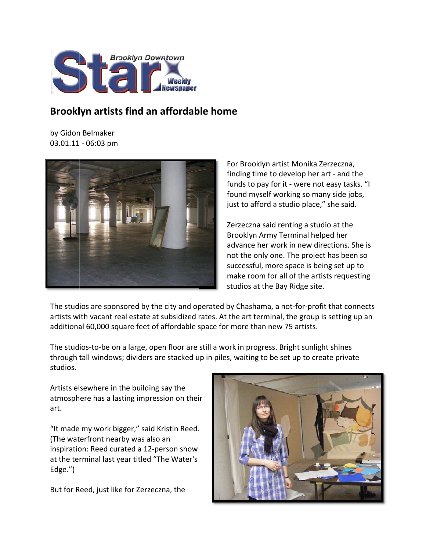

## **Brooklyn artists find an affordable home**

by Gidon Belmaker 03.01.11 - 06:03 pm



For Brooklyn artist Monika Zerzeczna, finding time to develop her art - and the funds to pay for it - were not easy tasks. "I found myself working so many side jobs, just to afford a studio place," she said.

Zerzeczna said renting a studio at the Brooklyn Army Terminal helped her advance her work in new directions. She is not the only one. The project has been so successful, more space is being set up to make room for all of the artists requesting stud dios at the B Bay Ridge sit e.

The studios are sponsored by the city and operated by Chashama, a not-for-profit that connects artists with vacant real estate at subsidized rates. At the art terminal, the group is setting up an additional 60,000 square feet of affordable space for more than new 75 artists.

The studios-to-be on a large, open floor are still a work in progress. Bright sunlight shines through tall windows; dividers are stacked up in piles, waiting to be set up to create private studios.

Artists elsewhere in the building say the atmosphere has a lasting impression on their art.

"It made my work big gger," said K Kristin Reed. (The waterfront nearby was also an inspiration: Reed curated a 12-person show at the terminal last year titled "The Water's Edge.")

But for Reed, just like for Zerzeczna, the